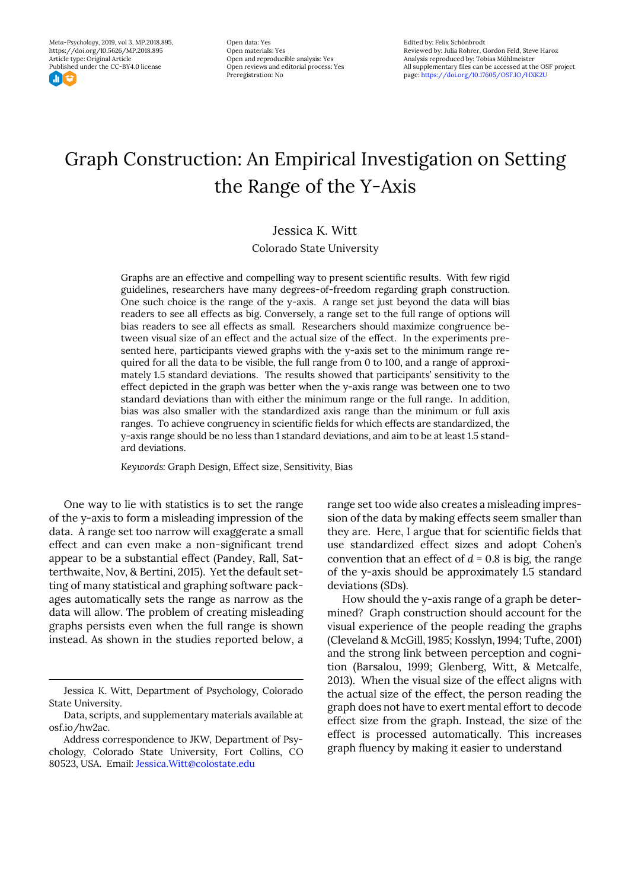*Meta-Psychology*, 2019, vol 3, MP.2018.895, https://doi.org/10.5626/MP.2018.895 Article type: Original Article Published under the CC-BY4.0 license

ा घ

Open data: Yes Open materials: Yes Open and reproducible analysis: Yes Open reviews and editorial process: Yes Preregistration: No

Edited by: Felix Schönbrodt Reviewed by: Julia Rohrer, Gordon Feld, Steve Haroz Analysis reproduced by: Tobias Mühlmeister All supplementary files can be accessed at the OSF project page: https://doi.org/10.17605/OSF.IO/HXK2U

# Graph Construction: An Empirical Investigation on Setting the Range of the Y-Axis

# Jessica K. Witt

Colorado State University

Graphs are an effective and compelling way to present scientific results. With few rigid guidelines, researchers have many degrees-of-freedom regarding graph construction. One such choice is the range of the y-axis. A range set just beyond the data will bias readers to see all effects as big. Conversely, a range set to the full range of options will bias readers to see all effects as small. Researchers should maximize congruence between visual size of an effect and the actual size of the effect. In the experiments presented here, participants viewed graphs with the y-axis set to the minimum range required for all the data to be visible, the full range from 0 to 100, and a range of approximately 1.5 standard deviations. The results showed that participants' sensitivity to the effect depicted in the graph was better when the y-axis range was between one to two standard deviations than with either the minimum range or the full range. In addition, bias was also smaller with the standardized axis range than the minimum or full axis ranges. To achieve congruency in scientific fields for which effects are standardized, the y-axis range should be no less than 1 standard deviations, and aim to be at least 1.5 standard deviations.

*Keywords:* Graph Design, Effect size, Sensitivity, Bias

One way to lie with statistics is to set the range of the y-axis to form a misleading impression of the data. A range set too narrow will exaggerate a small effect and can even make a non-significant trend appear to be a substantial effect (Pandey, Rall, Satterthwaite, Nov, & Bertini, 2015). Yet the default setting of many statistical and graphing software packages automatically sets the range as narrow as the data will allow. The problem of creating misleading graphs persists even when the full range is shown instead. As shown in the studies reported below, a range set too wide also creates a misleading impression of the data by making effects seem smaller than they are. Here, I argue that for scientific fields that use standardized effect sizes and adopt Cohen's convention that an effect of  $d = 0.8$  is big, the range of the y-axis should be approximately 1.5 standard deviations (SDs).

How should the y-axis range of a graph be determined? Graph construction should account for the visual experience of the people reading the graphs (Cleveland & McGill, 1985; Kosslyn, 1994; Tufte, 2001) and the strong link between perception and cognition (Barsalou, 1999; Glenberg, Witt, & Metcalfe, 2013). When the visual size of the effect aligns with the actual size of the effect, the person reading the graph does not have to exert mental effort to decode effect size from the graph. Instead, the size of the effect is processed automatically. This increases graph fluency by making it easier to understand

Jessica K. Witt, Department of Psychology, Colorado State University.

Data, scripts, and supplementary materials available at osf.io/hw2ac.

Address correspondence to JKW, Department of Psychology, Colorado State University, Fort Collins, CO 80523, USA. Email: Jessica.Witt@colostate.edu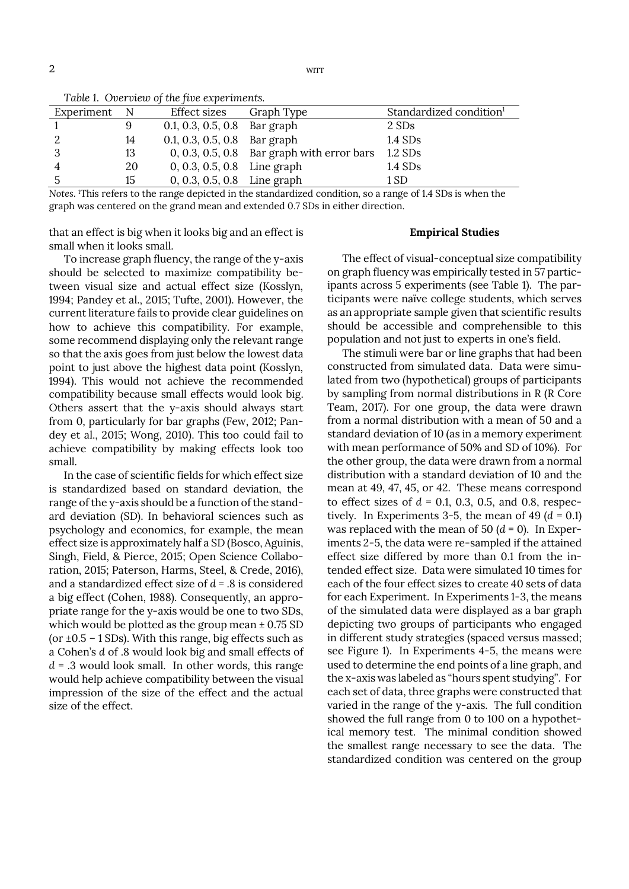$2 \,$  with  $\sim$ 

| Table 1. Over them of the five experiments. |     |                                |                                              |                                     |  |  |
|---------------------------------------------|-----|--------------------------------|----------------------------------------------|-------------------------------------|--|--|
| Experiment                                  | – N | Effect sizes                   | Graph Type                                   | Standardized condition <sup>1</sup> |  |  |
|                                             | 9   | $0.1, 0.3, 0.5, 0.8$ Bar graph |                                              | 2 SDs                               |  |  |
| 2                                           | 14  | $0.1, 0.3, 0.5, 0.8$ Bar graph |                                              | $1.4$ SDs                           |  |  |
| 3                                           | 13  |                                | $0, 0.3, 0.5, 0.8$ Bar graph with error bars | $1.2$ SDs                           |  |  |
| $\overline{4}$                              | 20  | $0, 0.3, 0.5, 0.8$ Line graph  |                                              | $1.4$ SDs                           |  |  |
| 5                                           | 15  | $0, 0.3, 0.5, 0.8$ Line graph  |                                              | 1 SD                                |  |  |

*Table 1*. *Overview of the five experiments.* 

*Notes*. 1 This refers to the range depicted in the standardized condition, so a range of 1.4 SDs is when the graph was centered on the grand mean and extended 0.7 SDs in either direction.

that an effect is big when it looks big and an effect is small when it looks small.

## **Empirical Studies**

To increase graph fluency, the range of the y-axis should be selected to maximize compatibility between visual size and actual effect size (Kosslyn, 1994; Pandey et al., 2015; Tufte, 2001). However, the current literature fails to provide clear guidelines on how to achieve this compatibility. For example, some recommend displaying only the relevant range so that the axis goes from just below the lowest data point to just above the highest data point (Kosslyn, 1994). This would not achieve the recommended compatibility because small effects would look big. Others assert that the y-axis should always start from 0, particularly for bar graphs (Few, 2012; Pandey et al., 2015; Wong, 2010). This too could fail to achieve compatibility by making effects look too small.

In the case of scientific fields for which effect size is standardized based on standard deviation, the range of the y-axis should be a function of the standard deviation (SD). In behavioral sciences such as psychology and economics, for example, the mean effect size is approximately half a SD (Bosco, Aguinis, Singh, Field, & Pierce, 2015; Open Science Collaboration, 2015; Paterson, Harms, Steel, & Crede, 2016), and a standardized effect size of *d* = .8 is considered a big effect (Cohen, 1988). Consequently, an appropriate range for the y-axis would be one to two SDs, which would be plotted as the group mean  $\pm$  0.75 SD (or  $\pm$ 0.5 – 1 SDs). With this range, big effects such as a Cohen's *d* of .8 would look big and small effects of  $d = .3$  would look small. In other words, this range would help achieve compatibility between the visual impression of the size of the effect and the actual size of the effect.

The effect of visual-conceptual size compatibility on graph fluency was empirically tested in 57 participants across 5 experiments (see Table 1). The participants were naïve college students, which serves as an appropriate sample given that scientific results should be accessible and comprehensible to this population and not just to experts in one's field.

The stimuli were bar or line graphs that had been constructed from simulated data. Data were simulated from two (hypothetical) groups of participants by sampling from normal distributions in R (R Core Team, 2017). For one group, the data were drawn from a normal distribution with a mean of 50 and a standard deviation of 10 (as in a memory experiment with mean performance of 50% and SD of 10%). For the other group, the data were drawn from a normal distribution with a standard deviation of 10 and the mean at 49, 47, 45, or 42. These means correspond to effect sizes of  $d = 0.1, 0.3, 0.5,$  and 0.8, respectively. In Experiments 3-5, the mean of 49  $(d = 0.1)$ was replaced with the mean of 50  $(d = 0)$ . In Experiments 2-5, the data were re-sampled if the attained effect size differed by more than 0.1 from the intended effect size. Data were simulated 10 times for each of the four effect sizes to create 40 sets of data for each Experiment. In Experiments 1-3, the means of the simulated data were displayed as a bar graph depicting two groups of participants who engaged in different study strategies (spaced versus massed; see Figure 1). In Experiments 4-5, the means were used to determine the end points of a line graph, and the x-axis was labeled as "hours spent studying". For each set of data, three graphs were constructed that varied in the range of the y-axis. The full condition showed the full range from 0 to 100 on a hypothetical memory test. The minimal condition showed the smallest range necessary to see the data. The standardized condition was centered on the group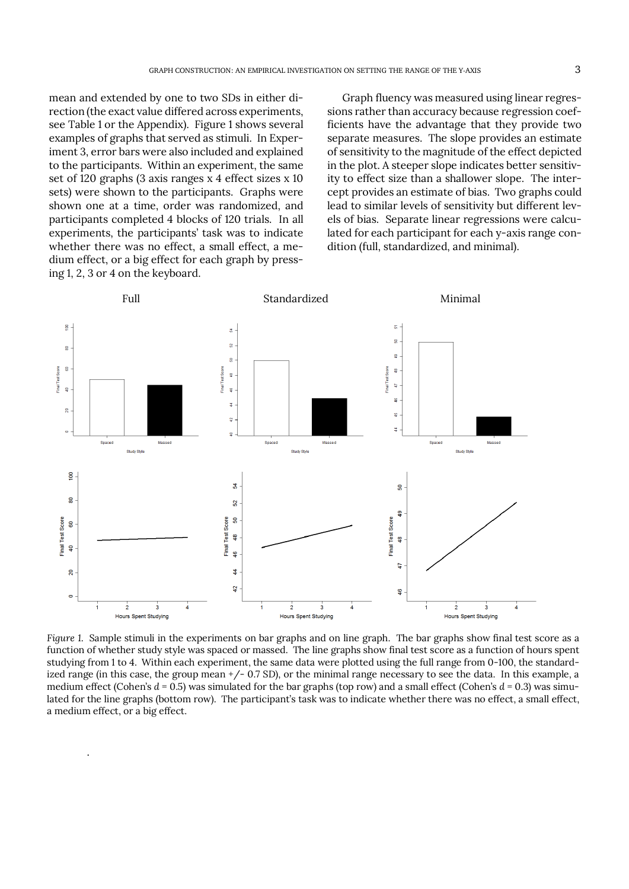mean and extended by one to two SDs in either direction (the exact value differed across experiments, see Table 1 or the Appendix). Figure 1 shows several examples of graphs that served as stimuli. In Experiment 3, error bars were also included and explained to the participants. Within an experiment, the same set of 120 graphs (3 axis ranges x 4 effect sizes x 10 sets) were shown to the participants. Graphs were shown one at a time, order was randomized, and participants completed 4 blocks of 120 trials. In all experiments, the participants' task was to indicate whether there was no effect, a small effect, a medium effect, or a big effect for each graph by pressing 1, 2, 3 or 4 on the keyboard.

.

Graph fluency was measured using linear regressions rather than accuracy because regression coefficients have the advantage that they provide two separate measures. The slope provides an estimate of sensitivity to the magnitude of the effect depicted in the plot. A steeper slope indicates better sensitivity to effect size than a shallower slope. The intercept provides an estimate of bias. Two graphs could lead to similar levels of sensitivity but different levels of bias. Separate linear regressions were calculated for each participant for each y-axis range condition (full, standardized, and minimal).



*Figure 1*. Sample stimuli in the experiments on bar graphs and on line graph. The bar graphs show final test score as a function of whether study style was spaced or massed. The line graphs show final test score as a function of hours spent studying from 1 to 4. Within each experiment, the same data were plotted using the full range from 0-100, the standardized range (in this case, the group mean +/- 0.7 SD), or the minimal range necessary to see the data. In this example, a medium effect (Cohen's *d* = 0.5) was simulated for the bar graphs (top row) and a small effect (Cohen's *d* = 0.3) was simulated for the line graphs (bottom row). The participant's task was to indicate whether there was no effect, a small effect, a medium effect, or a big effect.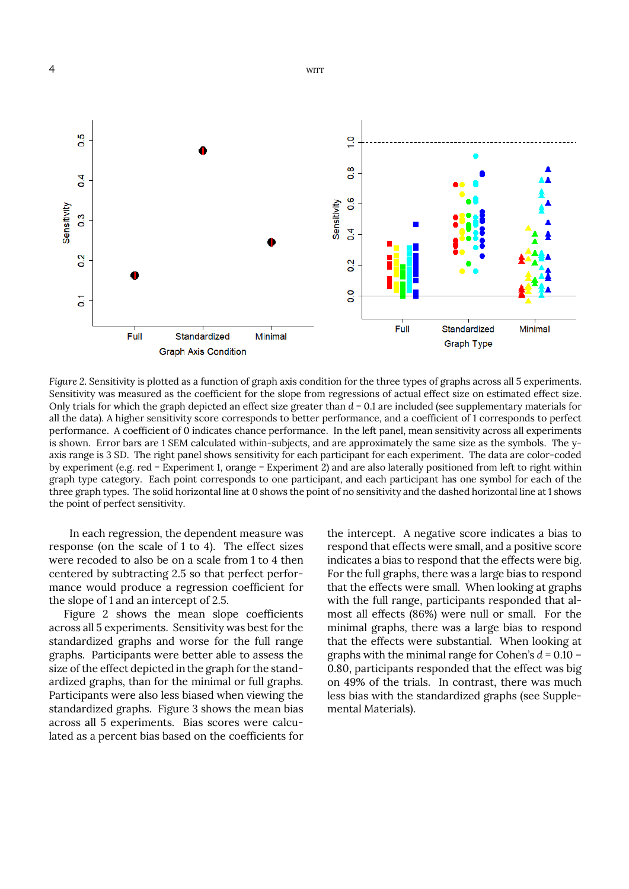

*Figure 2*. Sensitivity is plotted as a function of graph axis condition for the three types of graphs across all 5 experiments. Sensitivity was measured as the coefficient for the slope from regressions of actual effect size on estimated effect size. Only trials for which the graph depicted an effect size greater than *d* = 0.1 are included (see supplementary materials for all the data). A higher sensitivity score corresponds to better performance, and a coefficient of 1 corresponds to perfect performance. A coefficient of 0 indicates chance performance. In the left panel, mean sensitivity across all experiments is shown. Error bars are 1 SEM calculated within-subjects, and are approximately the same size as the symbols. The yaxis range is 3 SD. The right panel shows sensitivity for each participant for each experiment. The data are color-coded by experiment (e.g. red = Experiment 1, orange = Experiment 2) and are also laterally positioned from left to right within graph type category. Each point corresponds to one participant, and each participant has one symbol for each of the three graph types. The solid horizontal line at 0 shows the point of no sensitivity and the dashed horizontal line at 1 shows the point of perfect sensitivity.

 In each regression, the dependent measure was response (on the scale of 1 to 4). The effect sizes were recoded to also be on a scale from 1 to 4 then centered by subtracting 2.5 so that perfect performance would produce a regression coefficient for the slope of 1 and an intercept of 2.5.

Figure 2 shows the mean slope coefficients across all 5 experiments. Sensitivity was best for the standardized graphs and worse for the full range graphs. Participants were better able to assess the size of the effect depicted in the graph for the standardized graphs, than for the minimal or full graphs. Participants were also less biased when viewing the standardized graphs. Figure 3 shows the mean bias across all 5 experiments. Bias scores were calculated as a percent bias based on the coefficients for

the intercept. A negative score indicates a bias to respond that effects were small, and a positive score indicates a bias to respond that the effects were big. For the full graphs, there was a large bias to respond that the effects were small. When looking at graphs with the full range, participants responded that almost all effects (86%) were null or small. For the minimal graphs, there was a large bias to respond that the effects were substantial. When looking at graphs with the minimal range for Cohen's *d* = 0.10 – 0.80, participants responded that the effect was big on 49% of the trials. In contrast, there was much less bias with the standardized graphs (see Supplemental Materials).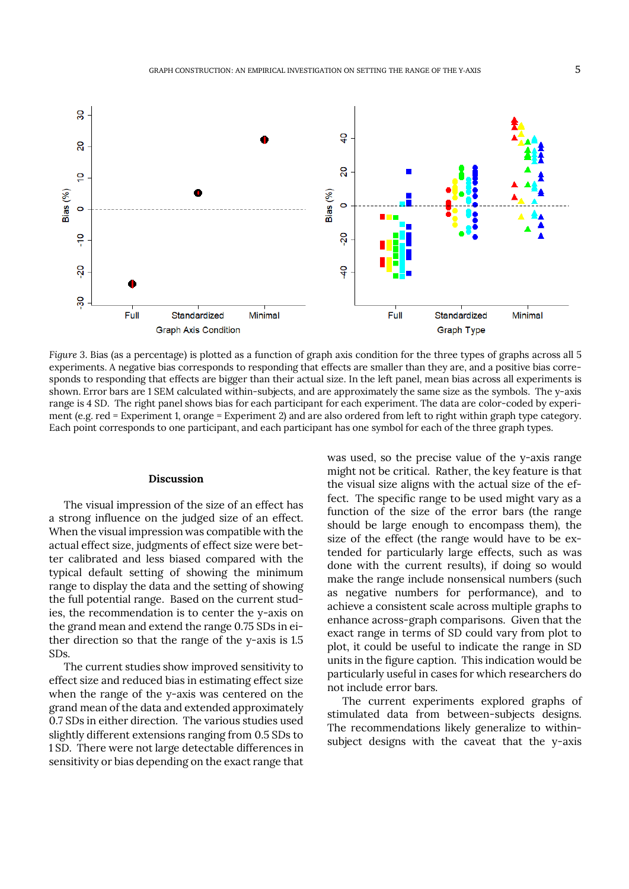

*Figure 3*. Bias (as a percentage) is plotted as a function of graph axis condition for the three types of graphs across all 5 experiments. A negative bias corresponds to responding that effects are smaller than they are, and a positive bias corresponds to responding that effects are bigger than their actual size. In the left panel, mean bias across all experiments is shown. Error bars are 1 SEM calculated within-subjects, and are approximately the same size as the symbols. The y-axis range is 4 SD. The right panel shows bias for each participant for each experiment. The data are color-coded by experiment (e.g. red = Experiment 1, orange = Experiment 2) and are also ordered from left to right within graph type category. Each point corresponds to one participant, and each participant has one symbol for each of the three graph types.

#### **Discussion**

The visual impression of the size of an effect has a strong influence on the judged size of an effect. When the visual impression was compatible with the actual effect size, judgments of effect size were better calibrated and less biased compared with the typical default setting of showing the minimum range to display the data and the setting of showing the full potential range. Based on the current studies, the recommendation is to center the y-axis on the grand mean and extend the range 0.75 SDs in either direction so that the range of the y-axis is 1.5 SDs.

The current studies show improved sensitivity to effect size and reduced bias in estimating effect size when the range of the y-axis was centered on the grand mean of the data and extended approximately 0.7 SDs in either direction. The various studies used slightly different extensions ranging from 0.5 SDs to 1 SD. There were not large detectable differences in sensitivity or bias depending on the exact range that

was used, so the precise value of the y-axis range might not be critical. Rather, the key feature is that the visual size aligns with the actual size of the effect. The specific range to be used might vary as a function of the size of the error bars (the range should be large enough to encompass them), the size of the effect (the range would have to be extended for particularly large effects, such as was done with the current results), if doing so would make the range include nonsensical numbers (such as negative numbers for performance), and to achieve a consistent scale across multiple graphs to enhance across-graph comparisons. Given that the exact range in terms of SD could vary from plot to plot, it could be useful to indicate the range in SD units in the figure caption. This indication would be particularly useful in cases for which researchers do not include error bars.

The current experiments explored graphs of stimulated data from between-subjects designs. The recommendations likely generalize to withinsubject designs with the caveat that the y-axis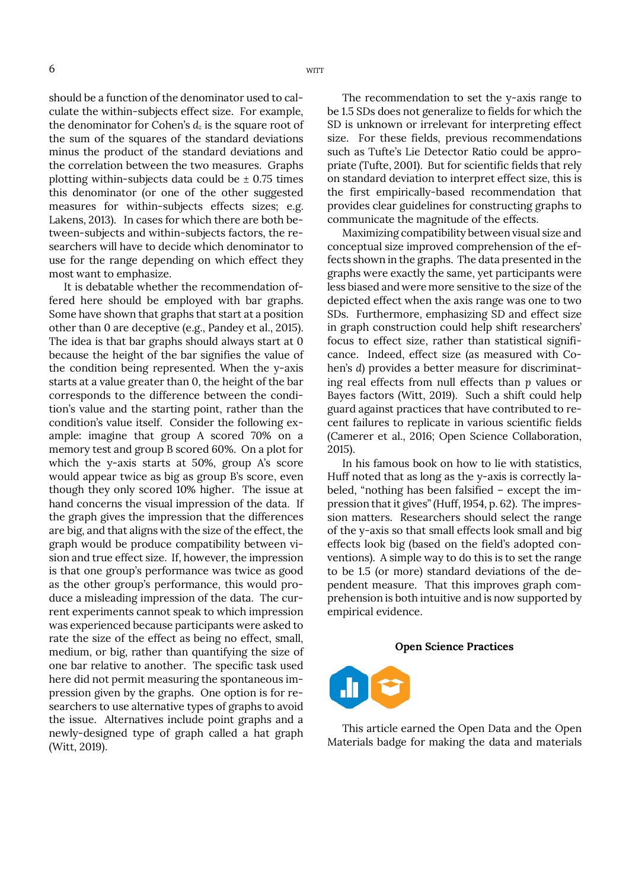should be a function of the denominator used to calculate the within-subjects effect size. For example, the denominator for Cohen's  $d_z$  is the square root of the sum of the squares of the standard deviations minus the product of the standard deviations and the correlation between the two measures. Graphs plotting within-subjects data could be  $\pm$  0.75 times this denominator (or one of the other suggested measures for within-subjects effects sizes; e.g. Lakens, 2013). In cases for which there are both between-subjects and within-subjects factors, the researchers will have to decide which denominator to use for the range depending on which effect they most want to emphasize.

It is debatable whether the recommendation offered here should be employed with bar graphs. Some have shown that graphs that start at a position other than 0 are deceptive (e.g., Pandey et al., 2015). The idea is that bar graphs should always start at 0 because the height of the bar signifies the value of the condition being represented. When the y-axis starts at a value greater than 0, the height of the bar corresponds to the difference between the condition's value and the starting point, rather than the condition's value itself. Consider the following example: imagine that group A scored 70% on a memory test and group B scored 60%. On a plot for which the y-axis starts at 50%, group A's score would appear twice as big as group B's score, even though they only scored 10% higher. The issue at hand concerns the visual impression of the data. If the graph gives the impression that the differences are big, and that aligns with the size of the effect, the graph would be produce compatibility between vision and true effect size. If, however, the impression is that one group's performance was twice as good as the other group's performance, this would produce a misleading impression of the data. The current experiments cannot speak to which impression was experienced because participants were asked to rate the size of the effect as being no effect, small, medium, or big, rather than quantifying the size of one bar relative to another. The specific task used here did not permit measuring the spontaneous impression given by the graphs. One option is for researchers to use alternative types of graphs to avoid the issue. Alternatives include point graphs and a newly-designed type of graph called a hat graph (Witt, 2019).

The recommendation to set the y-axis range to be 1.5 SDs does not generalize to fields for which the SD is unknown or irrelevant for interpreting effect size. For these fields, previous recommendations such as Tufte's Lie Detector Ratio could be appropriate (Tufte, 2001). But for scientific fields that rely on standard deviation to interpret effect size, this is the first empirically-based recommendation that provides clear guidelines for constructing graphs to communicate the magnitude of the effects.

Maximizing compatibility between visual size and conceptual size improved comprehension of the effects shown in the graphs. The data presented in the graphs were exactly the same, yet participants were less biased and were more sensitive to the size of the depicted effect when the axis range was one to two SDs. Furthermore, emphasizing SD and effect size in graph construction could help shift researchers' focus to effect size, rather than statistical significance. Indeed, effect size (as measured with Cohen's *d*) provides a better measure for discriminating real effects from null effects than *p* values or Bayes factors (Witt, 2019). Such a shift could help guard against practices that have contributed to recent failures to replicate in various scientific fields (Camerer et al., 2016; Open Science Collaboration, 2015).

In his famous book on how to lie with statistics, Huff noted that as long as the y-axis is correctly labeled, "nothing has been falsified – except the impression that it gives" (Huff, 1954, p. 62). The impression matters. Researchers should select the range of the y-axis so that small effects look small and big effects look big (based on the field's adopted conventions). A simple way to do this is to set the range to be 1.5 (or more) standard deviations of the dependent measure. That this improves graph comprehension is both intuitive and is now supported by empirical evidence.

#### **Open Science Practices**



This article earned the Open Data and the Open Materials badge for making the data and materials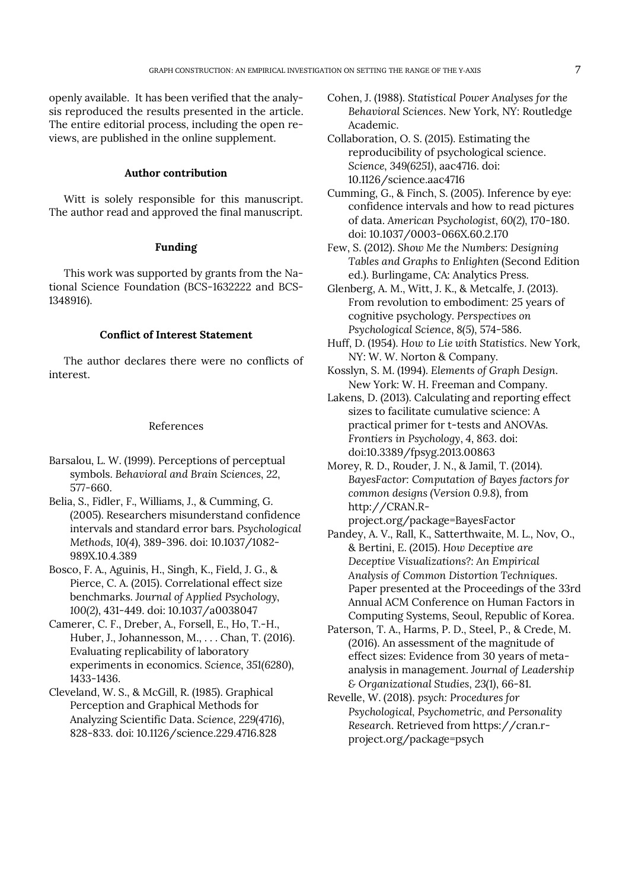openly available. It has been verified that the analysis reproduced the results presented in the article. The entire editorial process, including the open reviews, are published in the online supplement.

# **Author contribution**

Witt is solely responsible for this manuscript. The author read and approved the final manuscript.

## **Funding**

This work was supported by grants from the National Science Foundation (BCS-1632222 and BCS-1348916).

## **Conflict of Interest Statement**

The author declares there were no conflicts of interest.

#### References

- Barsalou, L. W. (1999). Perceptions of perceptual symbols. *Behavioral and Brain Sciences*, *22*, 577-660.
- Belia, S., Fidler, F., Williams, J., & Cumming, G. (2005). Researchers misunderstand confidence intervals and standard error bars. *Psychological Methods*, *10(4*), 389-396. doi: 10.1037/1082- 989X.10.4.389
- Bosco, F. A., Aguinis, H., Singh, K., Field, J. G., & Pierce, C. A. (2015). Correlational effect size benchmarks. *Journal of Applied Psychology*, *100(2)*, 431-449. doi: 10.1037/a0038047
- Camerer, C. F., Dreber, A., Forsell, E., Ho, T.-H., Huber, J., Johannesson, M., . . . Chan, T. (2016). Evaluating replicability of laboratory experiments in economics. *Science*, *351(6280*), 1433-1436.
- Cleveland, W. S., & McGill, R. (1985). Graphical Perception and Graphical Methods for Analyzing Scientific Data. *Science*, *229(4716)*, 828-833. doi: 10.1126/science.229.4716.828

Cohen, J. (1988). *Statistical Power Analyses for the Behavioral Sciences*. New York, NY: Routledge Academic.

Collaboration, O. S. (2015). Estimating the reproducibility of psychological science. *Science*, *349(6251)*, aac4716. doi: 10.1126/science.aac4716

- Cumming, G., & Finch, S. (2005). Inference by eye: confidence intervals and how to read pictures of data. *American Psychologist*, *60(2)*, 170-180. doi: 10.1037/0003-066X.60.2.170
- Few, S. (2012). *Show Me the Numbers: Designing Tables and Graphs to Enlighten* (Second Edition ed.). Burlingame, CA: Analytics Press.
- Glenberg, A. M., Witt, J. K., & Metcalfe, J. (2013). From revolution to embodiment: 25 years of cognitive psychology. *Perspectives on Psychological Science*, *8(5)*, 574-586.
- Huff, D. (1954). *How to Lie with Statistics*. New York, NY: W. W. Norton & Company.
- Kosslyn, S. M. (1994). *Elements of Graph Design*. New York: W. H. Freeman and Company.
- Lakens, D. (2013). Calculating and reporting effect sizes to facilitate cumulative science: A practical primer for t-tests and ANOVAs. *Frontiers in Psychology*, *4*, *863*. doi: doi:10.3389/fpsyg.2013.00863
- Morey, R. D., Rouder, J. N., & Jamil, T. (2014). *BayesFactor: Computation of Bayes factors for common designs (Version 0.9.8)*, from http://CRAN.R-
- project.org/package=BayesFactor Pandey, A. V., Rall, K., Satterthwaite, M. L., Nov, O., & Bertini, E. (2015). *How Deceptive are Deceptive Visualizations?: An Empirical Analysis of Common Distortion Techniques*. Paper presented at the Proceedings of the 33rd Annual ACM Conference on Human Factors in Computing Systems, Seoul, Republic of Korea.
- Paterson, T. A., Harms, P. D., Steel, P., & Crede, M. (2016). An assessment of the magnitude of effect sizes: Evidence from 30 years of metaanalysis in management. *Journal of Leadership & Organizational Studies*, *23(1)*, 66-81.
- Revelle, W. (2018). *psych: Procedures for Psychological, Psychometric, and Personality Research*. Retrieved from https://cran.rproject.org/package=psych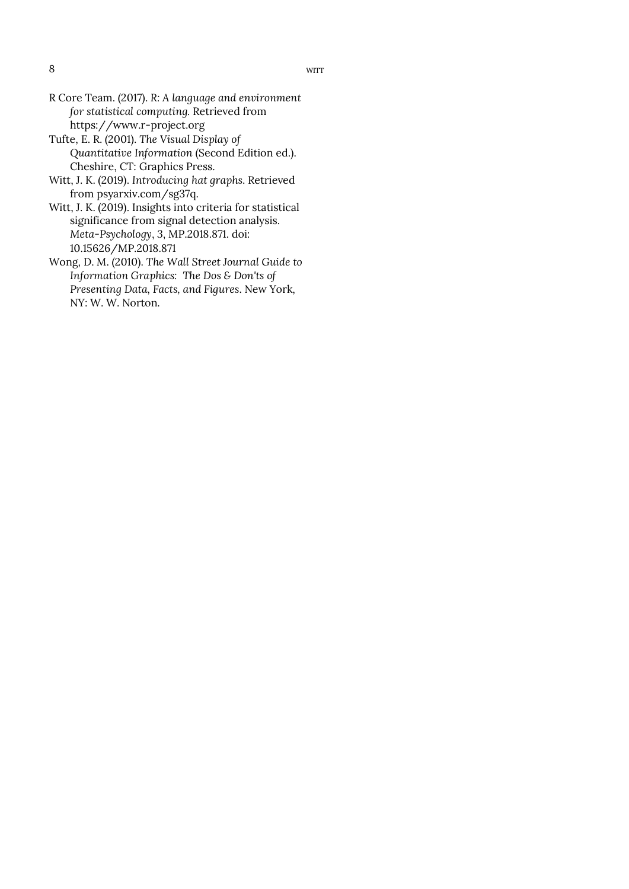- R Core Team. (2017). *R: A language and environment for statistical computing.* Retrieved from https://www.r-project.org
- Tufte, E. R. (2001). *The Visual Display of Quantitative Information* (Second Edition ed.). Cheshire, CT: Graphics Press.
- Witt, J. K. (2019). *Introducing hat graphs*. Retrieved from psyarxiv.com/sg37q.
- Witt, J. K. (2019). Insights into criteria for statistical significance from signal detection analysis. *Meta-Psychology*, *3*, MP.2018.871. doi: 10.15626/MP.2018.871
- Wong, D. M. (2010). *The Wall Street Journal Guide to Information Graphics: The Dos & Don'ts of Presenting Data, Facts, and Figures*. New York, NY: W. W. Norton.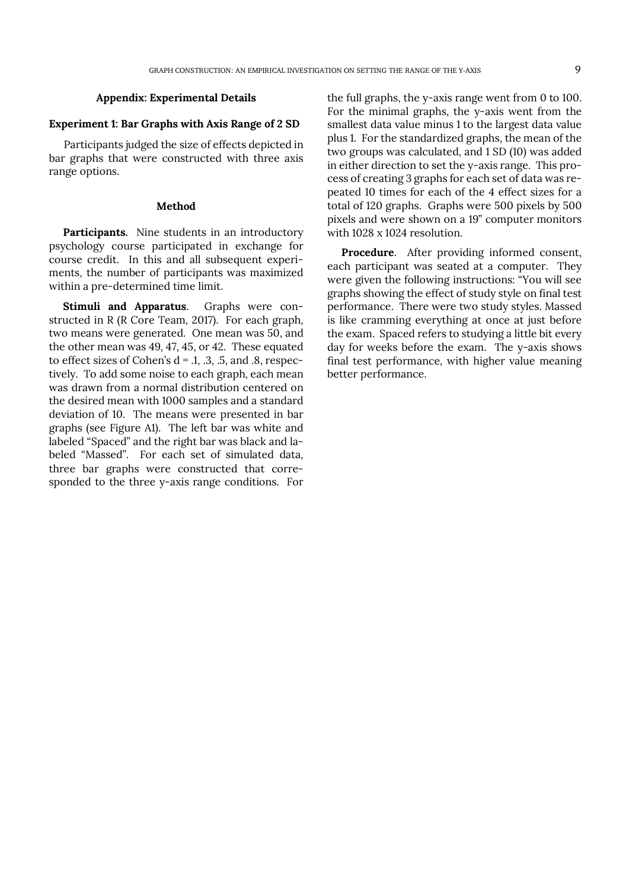## **Appendix: Experimental Details**

## **Experiment 1: Bar Graphs with Axis Range of 2 SD**

Participants judged the size of effects depicted in bar graphs that were constructed with three axis range options.

## **Method**

**Participants.** Nine students in an introductory psychology course participated in exchange for course credit. In this and all subsequent experiments, the number of participants was maximized within a pre-determined time limit.

**Stimuli and Apparatus**. Graphs were constructed in R (R Core Team, 2017). For each graph, two means were generated. One mean was 50, and the other mean was 49, 47, 45, or 42. These equated to effect sizes of Cohen's  $d = 0.1, 0.3, 0.5, 0.5$ , respectively. To add some noise to each graph, each mean was drawn from a normal distribution centered on the desired mean with 1000 samples and a standard deviation of 10. The means were presented in bar graphs (see Figure A1). The left bar was white and labeled "Spaced" and the right bar was black and labeled "Massed". For each set of simulated data, three bar graphs were constructed that corresponded to the three y-axis range conditions. For

the full graphs, the y-axis range went from 0 to 100. For the minimal graphs, the y-axis went from the smallest data value minus 1 to the largest data value plus 1. For the standardized graphs, the mean of the two groups was calculated, and 1 SD (10) was added in either direction to set the y-axis range. This process of creating 3 graphs for each set of data was repeated 10 times for each of the 4 effect sizes for a total of 120 graphs. Graphs were 500 pixels by 500 pixels and were shown on a 19" computer monitors with 1028 x 1024 resolution.

**Procedure**. After providing informed consent, each participant was seated at a computer. They were given the following instructions: "You will see graphs showing the effect of study style on final test performance. There were two study styles. Massed is like cramming everything at once at just before the exam. Spaced refers to studying a little bit every day for weeks before the exam. The y-axis shows final test performance, with higher value meaning better performance.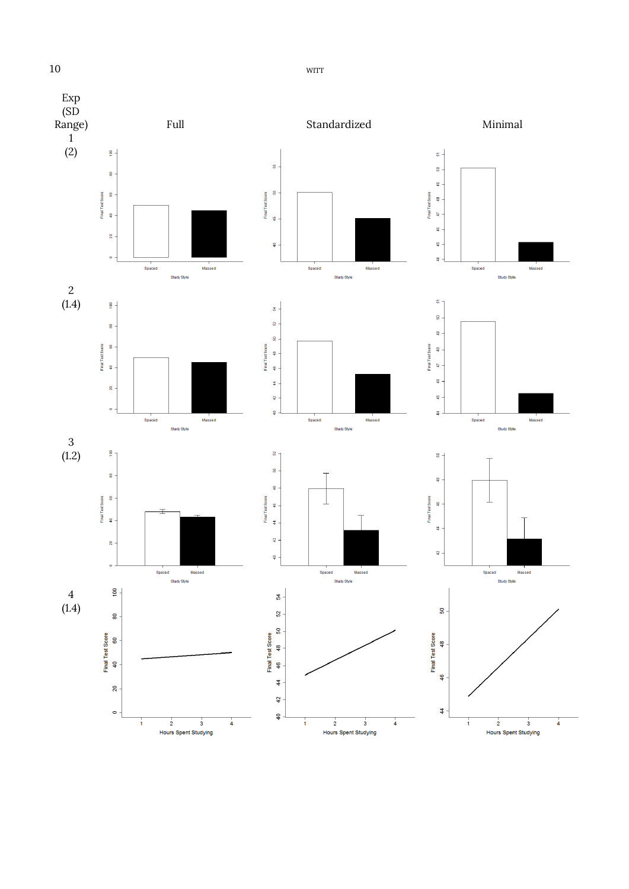

Hours Spent Studying

Hours Spent Studying

10 WITT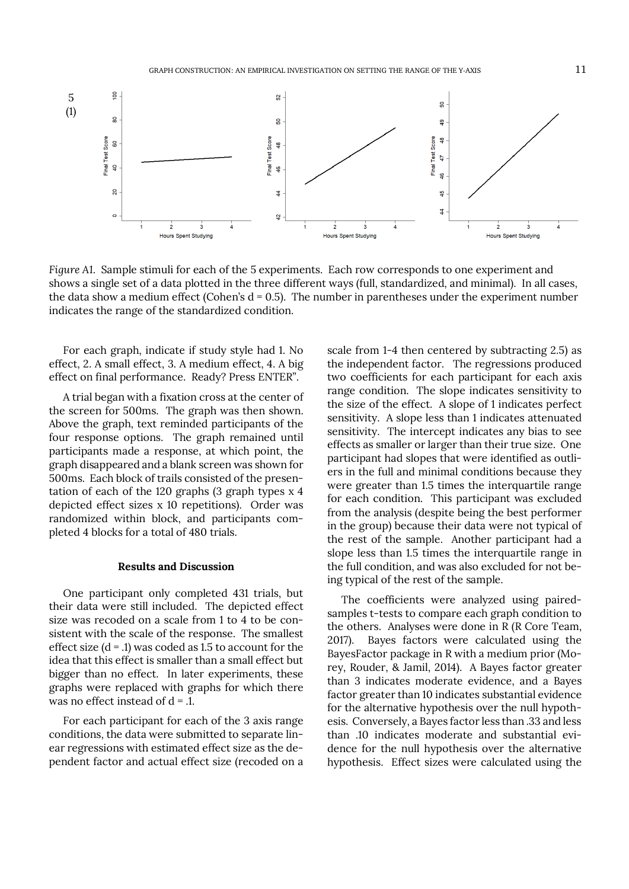

*Figure A1*. Sample stimuli for each of the 5 experiments. Each row corresponds to one experiment and shows a single set of a data plotted in the three different ways (full, standardized, and minimal). In all cases, the data show a medium effect (Cohen's  $d = 0.5$ ). The number in parentheses under the experiment number indicates the range of the standardized condition.

For each graph, indicate if study style had 1. No effect, 2. A small effect, 3. A medium effect, 4. A big effect on final performance. Ready? Press ENTER".

A trial began with a fixation cross at the center of the screen for 500ms. The graph was then shown. Above the graph, text reminded participants of the four response options. The graph remained until participants made a response, at which point, the graph disappeared and a blank screen was shown for 500ms. Each block of trails consisted of the presentation of each of the 120 graphs (3 graph types x 4 depicted effect sizes x 10 repetitions). Order was randomized within block, and participants completed 4 blocks for a total of 480 trials.

#### **Results and Discussion**

One participant only completed 431 trials, but their data were still included. The depicted effect size was recoded on a scale from 1 to 4 to be consistent with the scale of the response. The smallest effect size  $(d = .1)$  was coded as 1.5 to account for the idea that this effect is smaller than a small effect but bigger than no effect. In later experiments, these graphs were replaced with graphs for which there was no effect instead of  $d = 0.1$ .

For each participant for each of the 3 axis range conditions, the data were submitted to separate linear regressions with estimated effect size as the dependent factor and actual effect size (recoded on a scale from 1-4 then centered by subtracting 2.5) as the independent factor. The regressions produced two coefficients for each participant for each axis range condition. The slope indicates sensitivity to the size of the effect. A slope of 1 indicates perfect sensitivity. A slope less than 1 indicates attenuated sensitivity. The intercept indicates any bias to see effects as smaller or larger than their true size. One participant had slopes that were identified as outliers in the full and minimal conditions because they were greater than 1.5 times the interquartile range for each condition. This participant was excluded from the analysis (despite being the best performer in the group) because their data were not typical of the rest of the sample. Another participant had a slope less than 1.5 times the interquartile range in the full condition, and was also excluded for not being typical of the rest of the sample.

The coefficients were analyzed using pairedsamples t-tests to compare each graph condition to the others. Analyses were done in R (R Core Team, 2017). Bayes factors were calculated using the BayesFactor package in R with a medium prior (Morey, Rouder, & Jamil, 2014). A Bayes factor greater than 3 indicates moderate evidence, and a Bayes factor greater than 10 indicates substantial evidence for the alternative hypothesis over the null hypothesis. Conversely, a Bayes factor less than .33 and less than .10 indicates moderate and substantial evidence for the null hypothesis over the alternative hypothesis. Effect sizes were calculated using the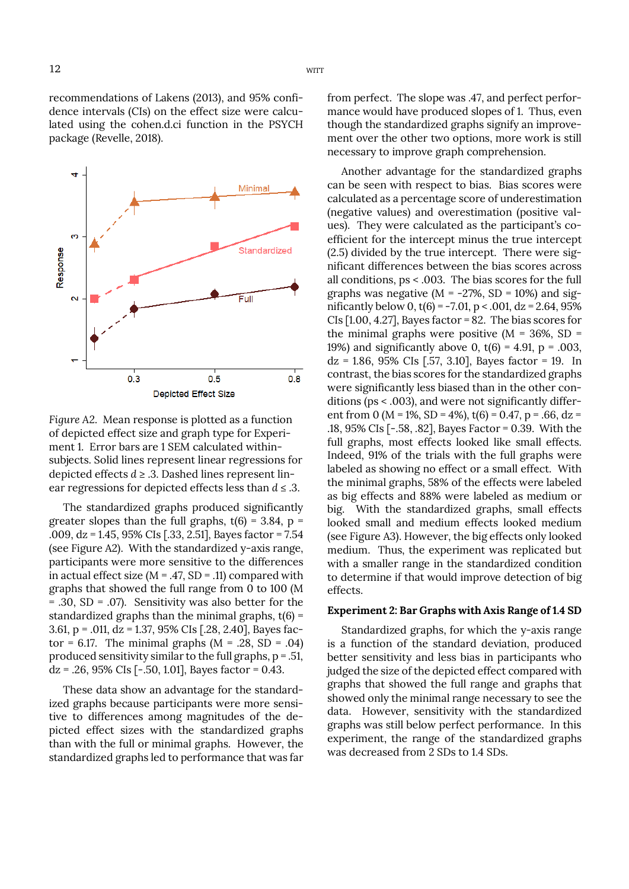recommendations of Lakens (2013), and 95% confidence intervals (CIs) on the effect size were calculated using the cohen.d.ci function in the PSYCH package (Revelle, 2018).



*Figure A2*. Mean response is plotted as a function of depicted effect size and graph type for Experiment 1. Error bars are 1 SEM calculated withinsubjects. Solid lines represent linear regressions for depicted effects  $d \geq 0.3$ . Dashed lines represent linear regressions for depicted effects less than *d* ≤ .3.

The standardized graphs produced significantly greater slopes than the full graphs,  $t(6) = 3.84$ ,  $p =$ .009, dz = 1.45, 95% CIs [.33, 2.51], Bayes factor = 7.54 (see Figure A2). With the standardized y-axis range, participants were more sensitive to the differences in actual effect size ( $M = .47$ , SD = .11) compared with graphs that showed the full range from 0 to 100 (M = .30, SD = .07). Sensitivity was also better for the standardized graphs than the minimal graphs,  $t(6)$  = 3.61, p = .011, dz = 1.37, 95% CIs [.28, 2.40], Bayes factor = 6.17. The minimal graphs  $(M = .28, SD = .04)$ produced sensitivity similar to the full graphs,  $p = .51$ ,  $dz = .26, 95\%$  CIs [-.50, 1.01], Bayes factor = 0.43.

These data show an advantage for the standardized graphs because participants were more sensitive to differences among magnitudes of the depicted effect sizes with the standardized graphs than with the full or minimal graphs. However, the standardized graphs led to performance that was far from perfect. The slope was .47, and perfect performance would have produced slopes of 1. Thus, even though the standardized graphs signify an improvement over the other two options, more work is still necessary to improve graph comprehension.

Another advantage for the standardized graphs can be seen with respect to bias. Bias scores were calculated as a percentage score of underestimation (negative values) and overestimation (positive values). They were calculated as the participant's coefficient for the intercept minus the true intercept (2.5) divided by the true intercept. There were significant differences between the bias scores across all conditions, ps < .003. The bias scores for the full graphs was negative ( $M = -27\%$ , SD = 10%) and significantly below 0,  $t(6) = -7.01$ ,  $p < .001$ ,  $dz = 2.64$ , 95% CIs [1.00, 4.27], Bayes factor = 82. The bias scores for the minimal graphs were positive  $(M = 36\%, SD =$ 19%) and significantly above 0,  $t(6) = 4.91$ , p = .003,  $dz = 1.86, 95\%$  CIs [.57, 3.10], Bayes factor = 19. In contrast, the bias scores for the standardized graphs were significantly less biased than in the other conditions (ps < .003), and were not significantly different from 0 (M = 1%, SD = 4%),  $t(6) = 0.47$ , p = .66, dz = .18, 95% CIs [-.58, .82], Bayes Factor = 0.39. With the full graphs, most effects looked like small effects. Indeed, 91% of the trials with the full graphs were labeled as showing no effect or a small effect. With the minimal graphs, 58% of the effects were labeled as big effects and 88% were labeled as medium or big. With the standardized graphs, small effects looked small and medium effects looked medium (see Figure A3). However, the big effects only looked medium. Thus, the experiment was replicated but with a smaller range in the standardized condition to determine if that would improve detection of big effects.

## **Experiment 2: Bar Graphs with Axis Range of 1.4 SD**

Standardized graphs, for which the y-axis range is a function of the standard deviation, produced better sensitivity and less bias in participants who judged the size of the depicted effect compared with graphs that showed the full range and graphs that showed only the minimal range necessary to see the data. However, sensitivity with the standardized graphs was still below perfect performance. In this experiment, the range of the standardized graphs was decreased from 2 SDs to 1.4 SDs.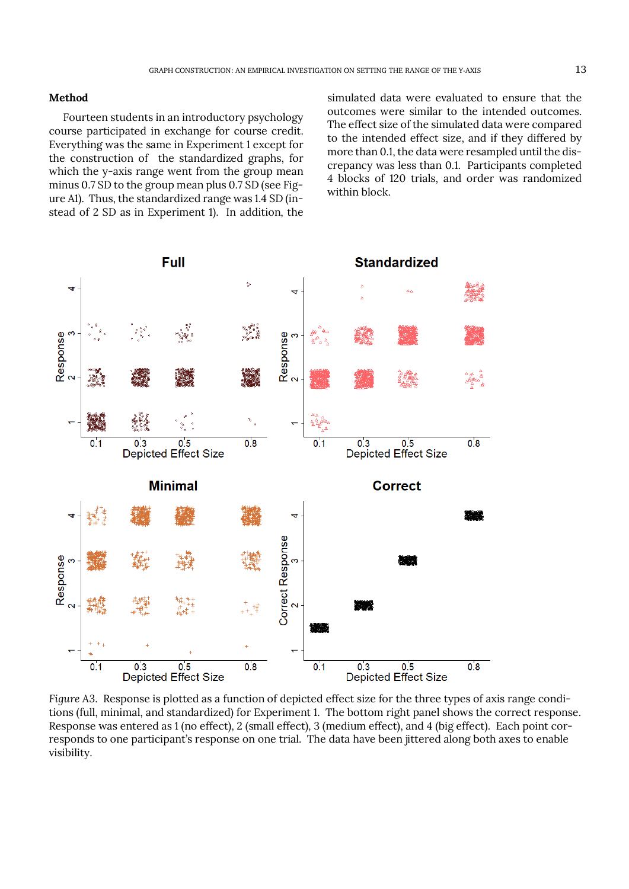## **Method**

Fourteen students in an introductory psychology course participated in exchange for course credit. Everything was the same in Experiment 1 except for the construction of the standardized graphs, for which the y-axis range went from the group mean minus 0.7 SD to the group mean plus 0.7 SD (see Figure A1). Thus, the standardized range was 1.4 SD (instead of 2 SD as in Experiment 1). In addition, the

simulated data were evaluated to ensure that the outcomes were similar to the intended outcomes. The effect size of the simulated data were compared to the intended effect size, and if they differed by more than 0.1, the data were resampled until the discrepancy was less than 0.1. Participants completed 4 blocks of 120 trials, and order was randomized within block.



*Figure A3*. Response is plotted as a function of depicted effect size for the three types of axis range conditions (full, minimal, and standardized) for Experiment 1. The bottom right panel shows the correct response. Response was entered as 1 (no effect), 2 (small effect), 3 (medium effect), and 4 (big effect). Each point corresponds to one participant's response on one trial. The data have been jittered along both axes to enable visibility.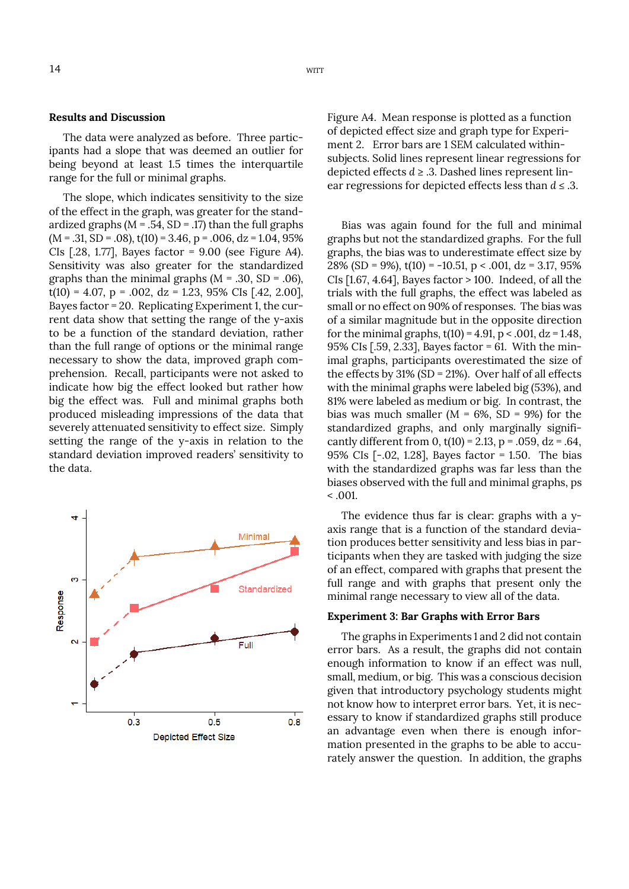#### **Results and Discussion**

The data were analyzed as before. Three participants had a slope that was deemed an outlier for being beyond at least 1.5 times the interquartile range for the full or minimal graphs.

The slope, which indicates sensitivity to the size of the effect in the graph, was greater for the standardized graphs ( $M = .54$ ,  $SD = .17$ ) than the full graphs  $(M = .31, SD = .08)$ ,  $t(10) = 3.46$ ,  $p = .006$ ,  $dz = 1.04$ ,  $95\%$ CIs [.28, 1.77], Bayes factor = 9.00 (see Figure A4). Sensitivity was also greater for the standardized graphs than the minimal graphs ( $M = .30$ ,  $SD = .06$ ),  $t(10) = 4.07$ ,  $p = .002$ ,  $dz = 1.23$ , 95% CIs [.42, 2.00], Bayes factor = 20. Replicating Experiment 1, the current data show that setting the range of the y-axis to be a function of the standard deviation, rather than the full range of options or the minimal range necessary to show the data, improved graph comprehension. Recall, participants were not asked to indicate how big the effect looked but rather how big the effect was. Full and minimal graphs both produced misleading impressions of the data that severely attenuated sensitivity to effect size. Simply setting the range of the y-axis in relation to the standard deviation improved readers' sensitivity to the data.



Figure A4. Mean response is plotted as a function of depicted effect size and graph type for Experiment 2. Error bars are 1 SEM calculated withinsubjects. Solid lines represent linear regressions for depicted effects  $d \geq 0.3$ . Dashed lines represent linear regressions for depicted effects less than *d* ≤ .3.

Bias was again found for the full and minimal graphs but not the standardized graphs. For the full graphs, the bias was to underestimate effect size by 28% (SD = 9%),  $t(10)$  = -10.51, p < .001, dz = 3.17, 95% CIs [1.67, 4.64], Bayes factor > 100. Indeed, of all the trials with the full graphs, the effect was labeled as small or no effect on 90% of responses. The bias was of a similar magnitude but in the opposite direction for the minimal graphs,  $t(10) = 4.91$ ,  $p < .001$ ,  $dz = 1.48$ , 95% CIs [.59, 2.33], Bayes factor = 61. With the minimal graphs, participants overestimated the size of the effects by 31% (SD = 21%). Over half of all effects with the minimal graphs were labeled big (53%), and 81% were labeled as medium or big. In contrast, the bias was much smaller ( $M = 6\%$ , SD = 9%) for the standardized graphs, and only marginally significantly different from 0,  $t(10) = 2.13$ ,  $p = .059$ ,  $dz = .64$ , 95% CIs [-.02, 1.28], Bayes factor = 1.50. The bias with the standardized graphs was far less than the biases observed with the full and minimal graphs, ps  $< 0.001$ .

The evidence thus far is clear: graphs with a yaxis range that is a function of the standard deviation produces better sensitivity and less bias in participants when they are tasked with judging the size of an effect, compared with graphs that present the full range and with graphs that present only the minimal range necessary to view all of the data.

## **Experiment 3: Bar Graphs with Error Bars**

The graphs in Experiments 1 and 2 did not contain error bars. As a result, the graphs did not contain enough information to know if an effect was null, small, medium, or big. This was a conscious decision given that introductory psychology students might not know how to interpret error bars. Yet, it is necessary to know if standardized graphs still produce an advantage even when there is enough information presented in the graphs to be able to accurately answer the question. In addition, the graphs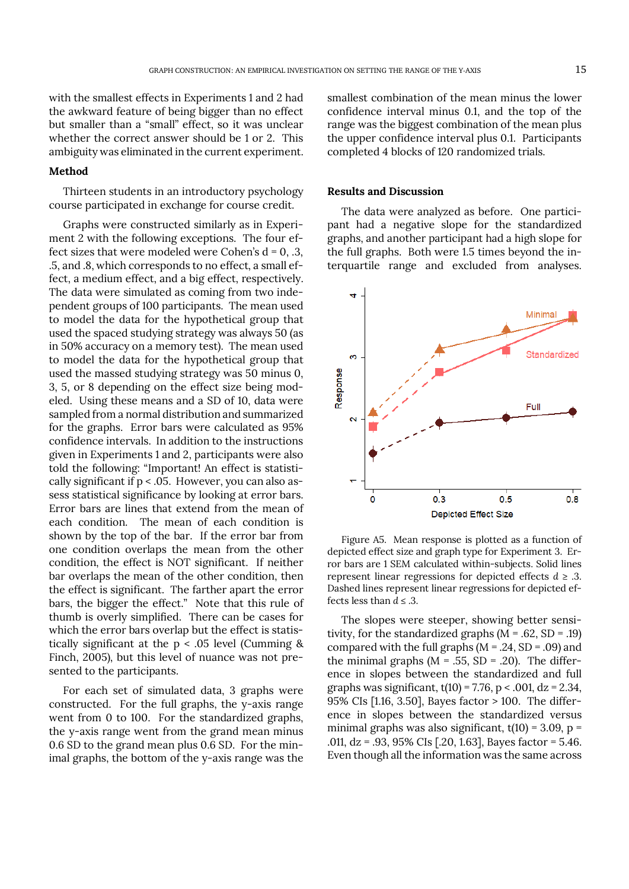with the smallest effects in Experiments 1 and 2 had the awkward feature of being bigger than no effect but smaller than a "small" effect, so it was unclear whether the correct answer should be 1 or 2. This ambiguity was eliminated in the current experiment.

## **Method**

Thirteen students in an introductory psychology course participated in exchange for course credit.

Graphs were constructed similarly as in Experiment 2 with the following exceptions. The four effect sizes that were modeled were Cohen's  $d = 0, .3,$ .5, and .8, which corresponds to no effect, a small effect, a medium effect, and a big effect, respectively. The data were simulated as coming from two independent groups of 100 participants. The mean used to model the data for the hypothetical group that used the spaced studying strategy was always 50 (as in 50% accuracy on a memory test). The mean used to model the data for the hypothetical group that used the massed studying strategy was 50 minus 0, 3, 5, or 8 depending on the effect size being modeled. Using these means and a SD of 10, data were sampled from a normal distribution and summarized for the graphs. Error bars were calculated as 95% confidence intervals. In addition to the instructions given in Experiments 1 and 2, participants were also told the following: "Important! An effect is statistically significant if p < .05. However, you can also assess statistical significance by looking at error bars. Error bars are lines that extend from the mean of each condition. The mean of each condition is shown by the top of the bar. If the error bar from one condition overlaps the mean from the other condition, the effect is NOT significant. If neither bar overlaps the mean of the other condition, then the effect is significant. The farther apart the error bars, the bigger the effect." Note that this rule of thumb is overly simplified. There can be cases for which the error bars overlap but the effect is statistically significant at the p < .05 level (Cumming & Finch, 2005), but this level of nuance was not presented to the participants.

For each set of simulated data, 3 graphs were constructed. For the full graphs, the y-axis range went from 0 to 100. For the standardized graphs, the y-axis range went from the grand mean minus 0.6 SD to the grand mean plus 0.6 SD. For the minimal graphs, the bottom of the y-axis range was the smallest combination of the mean minus the lower confidence interval minus 0.1, and the top of the range was the biggest combination of the mean plus the upper confidence interval plus 0.1. Participants completed 4 blocks of 120 randomized trials.

## **Results and Discussion**

The data were analyzed as before. One participant had a negative slope for the standardized graphs, and another participant had a high slope for the full graphs. Both were 1.5 times beyond the interquartile range and excluded from analyses.



Figure A5. Mean response is plotted as a function of depicted effect size and graph type for Experiment 3. Error bars are 1 SEM calculated within-subjects. Solid lines represent linear regressions for depicted effects  $d \geq 0.3$ . Dashed lines represent linear regressions for depicted effects less than  $d \leq .3$ .

The slopes were steeper, showing better sensitivity, for the standardized graphs  $(M = .62, SD = .19)$ compared with the full graphs  $(M = .24, SD = .09)$  and the minimal graphs  $(M = .55, SD = .20)$ . The difference in slopes between the standardized and full graphs was significant,  $t(10) = 7.76$ ,  $p < .001$ ,  $dz = 2.34$ , 95% CIs [1.16, 3.50], Bayes factor > 100. The difference in slopes between the standardized versus minimal graphs was also significant,  $t(10) = 3.09$ ,  $p =$ .011, dz = .93, 95% CIs [.20, 1.63], Bayes factor = 5.46. Even though all the information was the same across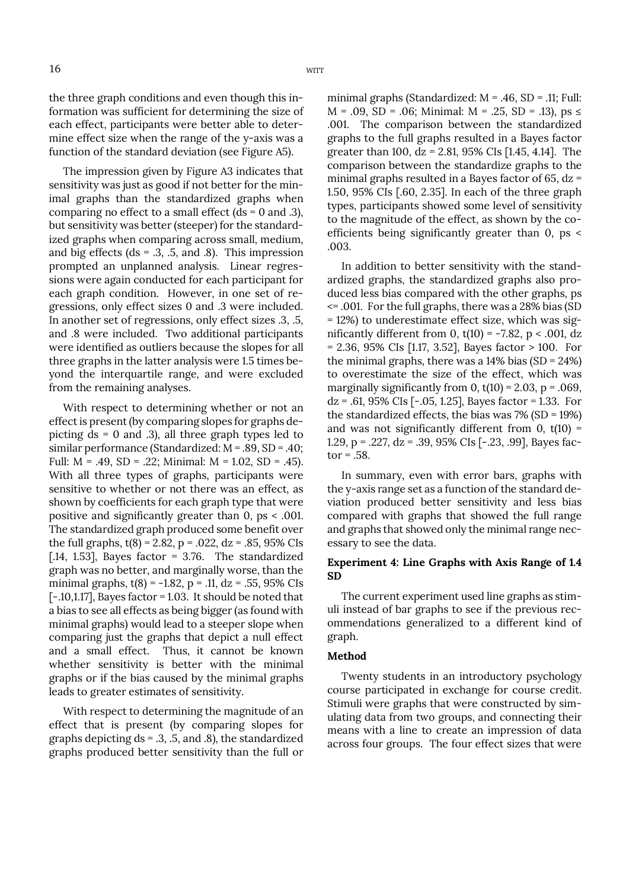the three graph conditions and even though this information was sufficient for determining the size of each effect, participants were better able to determine effect size when the range of the y-axis was a function of the standard deviation (see Figure A5).

The impression given by Figure A3 indicates that sensitivity was just as good if not better for the minimal graphs than the standardized graphs when comparing no effect to a small effect (ds = 0 and .3), but sensitivity was better (steeper) for the standardized graphs when comparing across small, medium, and big effects (ds =  $.3, .5,$  and  $.8$ ). This impression prompted an unplanned analysis. Linear regressions were again conducted for each participant for each graph condition. However, in one set of regressions, only effect sizes 0 and .3 were included. In another set of regressions, only effect sizes .3, .5, and .8 were included. Two additional participants were identified as outliers because the slopes for all three graphs in the latter analysis were 1.5 times beyond the interquartile range, and were excluded from the remaining analyses.

With respect to determining whether or not an effect is present (by comparing slopes for graphs depicting ds = 0 and .3), all three graph types led to similar performance (Standardized: M = .89, SD = .40; Full:  $M = .49$ ,  $SD = .22$ ; Minimal:  $M = 1.02$ ,  $SD = .45$ ). With all three types of graphs, participants were sensitive to whether or not there was an effect, as shown by coefficients for each graph type that were positive and significantly greater than 0, ps < .001. The standardized graph produced some benefit over the full graphs,  $t(8) = 2.82$ ,  $p = .022$ ,  $dz = .85$ , 95% CIs [.14, 1.53], Bayes factor = 3.76. The standardized graph was no better, and marginally worse, than the minimal graphs,  $t(8) = -1.82$ ,  $p = .11$ ,  $dz = .55$ , 95% CIs  $[-.10,1.17]$ , Bayes factor = 1.03. It should be noted that a bias to see all effects as being bigger (as found with minimal graphs) would lead to a steeper slope when comparing just the graphs that depict a null effect and a small effect. Thus, it cannot be known whether sensitivity is better with the minimal graphs or if the bias caused by the minimal graphs leads to greater estimates of sensitivity.

With respect to determining the magnitude of an effect that is present (by comparing slopes for graphs depicting  $ds = .3, .5,$  and  $.8$ ), the standardized graphs produced better sensitivity than the full or minimal graphs (Standardized: M = .46, SD = .11; Full:  $M = .09$ , SD = .06; Minimal:  $M = .25$ , SD = .13), ps  $\leq$ .001. The comparison between the standardized graphs to the full graphs resulted in a Bayes factor greater than 100,  $dz = 2.81$ , 95% CIs [1.45, 4.14]. The comparison between the standardize graphs to the minimal graphs resulted in a Bayes factor of 65, dz = 1.50, 95% CIs [.60, 2.35]. In each of the three graph types, participants showed some level of sensitivity to the magnitude of the effect, as shown by the coefficients being significantly greater than 0, ps < .003.

In addition to better sensitivity with the standardized graphs, the standardized graphs also produced less bias compared with the other graphs, ps <= .001. For the full graphs, there was a 28% bias (SD = 12%) to underestimate effect size, which was significantly different from 0,  $t(10) = -7.82$ , p < .001, dz = 2.36, 95% CIs [1.17, 3.52], Bayes factor > 100. For the minimal graphs, there was a  $14\%$  bias (SD =  $24\%$ ) to overestimate the size of the effect, which was marginally significantly from 0,  $t(10) = 2.03$ ,  $p = .069$ ,  $dz = .61, 95\%$  CIs [ $-.05, 1.25$ ], Bayes factor  $= 1.33$ . For the standardized effects, the bias was 7% (SD = 19%) and was not significantly different from  $0$ ,  $t(10)$  = 1.29, p = .227, dz = .39, 95% CIs [-.23, .99], Bayes factor  $= .58$ .

In summary, even with error bars, graphs with the y-axis range set as a function of the standard deviation produced better sensitivity and less bias compared with graphs that showed the full range and graphs that showed only the minimal range necessary to see the data.

# **Experiment 4: Line Graphs with Axis Range of 1.4 SD**

The current experiment used line graphs as stimuli instead of bar graphs to see if the previous recommendations generalized to a different kind of graph.

## **Method**

Twenty students in an introductory psychology course participated in exchange for course credit. Stimuli were graphs that were constructed by simulating data from two groups, and connecting their means with a line to create an impression of data across four groups. The four effect sizes that were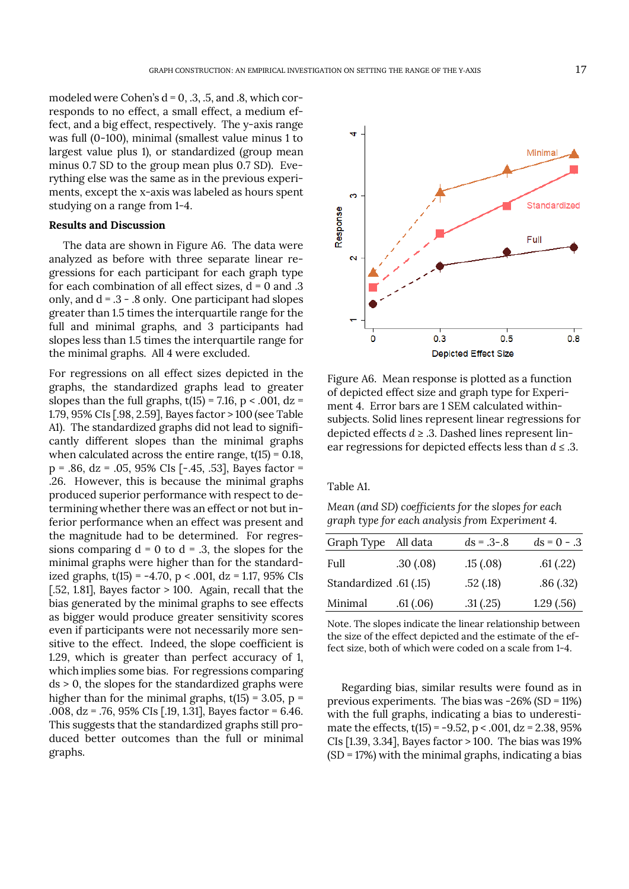modeled were Cohen's  $d = 0, .3, .5,$  and  $.8$ , which corresponds to no effect, a small effect, a medium effect, and a big effect, respectively. The y-axis range was full (0-100), minimal (smallest value minus 1 to largest value plus 1), or standardized (group mean minus 0.7 SD to the group mean plus 0.7 SD). Everything else was the same as in the previous experiments, except the x-axis was labeled as hours spent studying on a range from 1-4.

# **Results and Discussion**

The data are shown in Figure A6. The data were analyzed as before with three separate linear regressions for each participant for each graph type for each combination of all effect sizes,  $\overline{d} = 0$  and .3 only, and  $d = .3 - .8$  only. One participant had slopes greater than 1.5 times the interquartile range for the full and minimal graphs, and 3 participants had slopes less than 1.5 times the interquartile range for the minimal graphs. All 4 were excluded.

For regressions on all effect sizes depicted in the graphs, the standardized graphs lead to greater slopes than the full graphs,  $t(15) = 7.16$ ,  $p < .001$ ,  $dz =$ 1.79, 95% CIs [.98, 2.59], Bayes factor > 100 (see Table A1). The standardized graphs did not lead to significantly different slopes than the minimal graphs when calculated across the entire range,  $t(15) = 0.18$ , p = .86, dz = .05, 95% CIs [-.45, .53], Bayes factor = .26. However, this is because the minimal graphs produced superior performance with respect to determining whether there was an effect or not but inferior performance when an effect was present and the magnitude had to be determined. For regressions comparing  $d = 0$  to  $d = .3$ , the slopes for the minimal graphs were higher than for the standardized graphs,  $t(15) = -4.70$ ,  $p < .001$ ,  $dz = 1.17$ , 95% CIs [.52, 1.81], Bayes factor  $> 100$ . Again, recall that the bias generated by the minimal graphs to see effects as bigger would produce greater sensitivity scores even if participants were not necessarily more sensitive to the effect. Indeed, the slope coefficient is 1.29, which is greater than perfect accuracy of 1, which implies some bias. For regressions comparing ds > 0, the slopes for the standardized graphs were higher than for the minimal graphs,  $t(15) = 3.05$ ,  $p =$ .008, dz = .76, 95% CIs [.19, 1.31], Bayes factor = 6.46. This suggests that the standardized graphs still produced better outcomes than the full or minimal graphs.



Figure A6. Mean response is plotted as a function of depicted effect size and graph type for Experiment 4. Error bars are 1 SEM calculated withinsubjects. Solid lines represent linear regressions for depicted effects  $d \ge 0.3$ . Dashed lines represent linear regressions for depicted effects less than *d* ≤ .3.

Table A1.

*Mean (and SD) coefficients for the slopes for each graph type for each analysis from Experiment 4.* 

| Graph Type All data    |           | $ds = .3 - .8$ | $ds = 0 - .3$ |
|------------------------|-----------|----------------|---------------|
| Full                   | .30(0.08) | .15(.08)       | .61(.22)      |
| Standardized .61 (.15) |           | .52(.18)       | .86(.32)      |
| Minimal                | .61(0.06) | .31(.25)       | 1.29(.56)     |

Note. The slopes indicate the linear relationship between the size of the effect depicted and the estimate of the effect size, both of which were coded on a scale from 1-4.

Regarding bias, similar results were found as in previous experiments. The bias was -26% (SD = 11%) with the full graphs, indicating a bias to underestimate the effects,  $t(15) = -9.52$ ,  $p < .001$ ,  $dz = 2.38$ , 95% CIs [1.39, 3.34], Bayes factor > 100. The bias was 19%  $(SD = 17%)$  with the minimal graphs, indicating a bias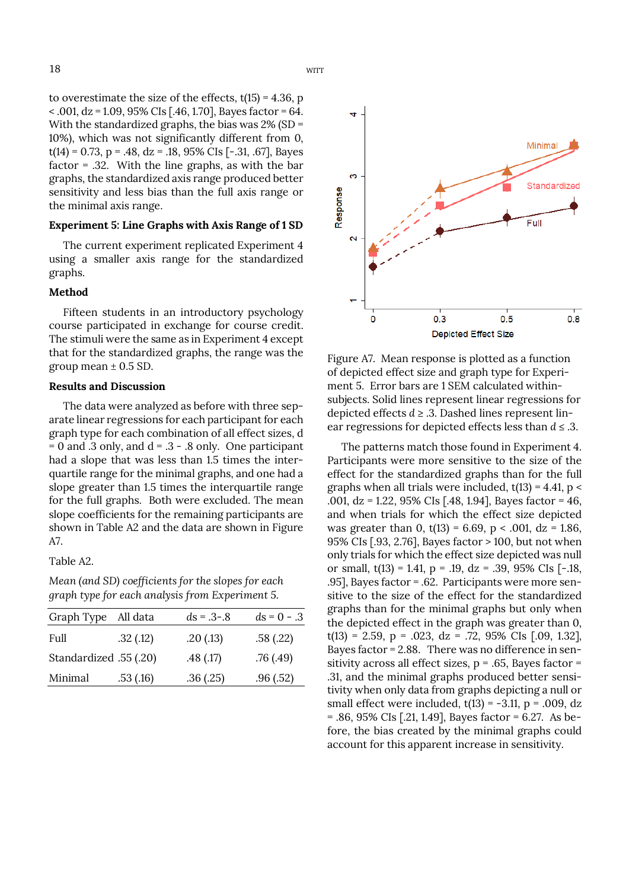to overestimate the size of the effects,  $t(15) = 4.36$ , p  $\alpha$  < .001, dz = 1.09, 95% CIs [.46, 1.70], Bayes factor = 64. With the standardized graphs, the bias was 2% (SD = 10%), which was not significantly different from 0,  $t(14) = 0.73$ , p = .48, dz = .18, 95% CIs [-.31, .67], Bayes factor = .32. With the line graphs, as with the bar graphs, the standardized axis range produced better sensitivity and less bias than the full axis range or the minimal axis range.

## **Experiment 5: Line Graphs with Axis Range of 1 SD**

The current experiment replicated Experiment 4 using a smaller axis range for the standardized graphs.

#### **Method**

Fifteen students in an introductory psychology course participated in exchange for course credit. The stimuli were the same as in Experiment 4 except that for the standardized graphs, the range was the group mean  $\pm$  0.5 SD.

#### **Results and Discussion**

The data were analyzed as before with three separate linear regressions for each participant for each graph type for each combination of all effect sizes, d  $= 0$  and .3 only, and  $d = .3 - .8$  only. One participant had a slope that was less than 1.5 times the interquartile range for the minimal graphs, and one had a slope greater than 1.5 times the interquartile range for the full graphs. Both were excluded. The mean slope coefficients for the remaining participants are shown in Table A2 and the data are shown in Figure A7.

Table A2.

*Mean (and SD) coefficients for the slopes for each graph type for each analysis from Experiment 5.*

| Graph Type All data    |          | $ds = .3 - .8$ | $ds = 0 - .3$ |
|------------------------|----------|----------------|---------------|
| Full                   | .32(.12) | .20(.13)       | .58(.22)      |
| Standardized .55 (.20) |          | .48(.17)       | .76(0.49)     |
| Minimal                | .53(.16) | .36(.25)       | .96(0.52)     |



Figure A7. Mean response is plotted as a function of depicted effect size and graph type for Experiment 5. Error bars are 1 SEM calculated withinsubjects. Solid lines represent linear regressions for depicted effects  $d \geq 0.3$ . Dashed lines represent linear regressions for depicted effects less than *d* ≤ .3.

The patterns match those found in Experiment 4. Participants were more sensitive to the size of the effect for the standardized graphs than for the full graphs when all trials were included,  $t(13) = 4.41$ ,  $p <$ .001, dz = 1.22, 95% CIs [.48, 1.94], Bayes factor = 46, and when trials for which the effect size depicted was greater than 0,  $t(13) = 6.69$ ,  $p < .001$ ,  $dz = 1.86$ , 95% CIs [.93, 2.76], Bayes factor > 100, but not when only trials for which the effect size depicted was null or small,  $t(13) = 1.41$ ,  $p = .19$ ,  $dz = .39$ , 95% CIs [-.18, .95], Bayes factor = .62. Participants were more sensitive to the size of the effect for the standardized graphs than for the minimal graphs but only when the depicted effect in the graph was greater than 0, t(13) = 2.59, p = .023, dz = .72, 95% CIs  $[.09, 1.32]$ , Bayes factor = 2.88. There was no difference in sensitivity across all effect sizes,  $p = .65$ , Bayes factor = .31, and the minimal graphs produced better sensitivity when only data from graphs depicting a null or small effect were included,  $t(13) = -3.11$ ,  $p = .009$ , dz = .86, 95% CIs [.21, 1.49], Bayes factor = 6.27. As before, the bias created by the minimal graphs could account for this apparent increase in sensitivity.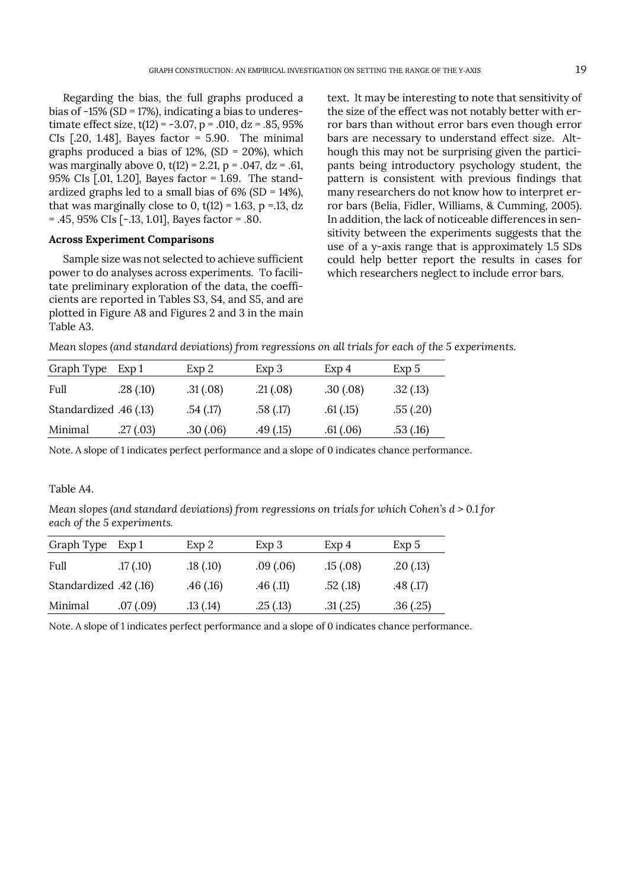Regarding the bias, the full graphs produced a bias of -15% (SD = 17%), indicating a bias to underestimate effect size,  $t(12) = -3.07$ ,  $p = .010$ ,  $dz = .85$ , 95% CIs  $[.20, 1.48]$ , Bayes factor = 5.90. The minimal graphs produced a bias of  $12\%$ ,  $(SD = 20\%)$ , which was marginally above 0,  $t(12) = 2.21$ ,  $p = .047$ ,  $dz = .61$ , 95% CIs [.01, 1.20], Bayes factor = 1.69. The standardized graphs led to a small bias of 6% (SD = 14%), that was marginally close to 0,  $t(12) = 1.63$ , p = 1.13, dz = .45, 95% CIs [-.13, 1.01], Bayes factor = .80.

# **Across Experiment Comparisons**

Sample size was not selected to achieve sufficient power to do analyses across experiments. To facilitate preliminary exploration of the data, the coefficients are reported in Tables S3, S4, and S5, and are plotted in Figure A8 and Figures 2 and 3 in the main Table A3.

text. It may be interesting to note that sensitivity of the size of the effect was not notably better with error bars than without error bars even though error bars are necessary to understand effect size. Although this may not be surprising given the participants being introductory psychology student, the pattern is consistent with previous findings that many researchers do not know how to interpret error bars (Belia, Fidler, Williams, & Cumming, 2005). In addition, the lack of noticeable differences in sensitivity between the experiments suggests that the use of a y-axis range that is approximately 1.5 SDs could help better report the results in cases for which researchers neglect to include error bars.

|  |  | Mean slopes (and standard deviations) from regressions on all trials for each of the 5 experiments. |
|--|--|-----------------------------------------------------------------------------------------------------|
|  |  |                                                                                                     |

| Graph Type                  | Exp 1    | Exp 2    | Exp 3    | Exp <sub>4</sub> | Exp 5    |
|-----------------------------|----------|----------|----------|------------------|----------|
| Full                        | .28(.10) | .31(.08) | .21(.08) | .30(.08)         | .32(.13) |
| (13) Standardized .46 (.13) |          | .54(.17) | .58(.17) | .61(.15)         | .55(.20) |
| Minimal                     | .27(.03) | .30(.06) | .49(.15) | .61(.06)         | .53(.16) |

Note. A slope of 1 indicates perfect performance and a slope of 0 indicates chance performance.

## Table A4.

*Mean slopes (and standard deviations) from regressions on trials for which Cohen's d > 0.1 for each of the 5 experiments.* 

| Graph Type            | Exp 1     | Exp 2    | Exp 3    | Exp 4    | Exp 5    |
|-----------------------|-----------|----------|----------|----------|----------|
| Full                  | .17(.10)  | .18(.10) | .09(.06) | .15(.08) | .20(.13) |
| (16) Standardized .42 |           | .46(.16) | .46(.11) | .52(.18) | .48(.17) |
| Minimal               | .07 (.09) | .13(.14) | .25(.13) | .31(.25) | .36(.25) |

Note. A slope of 1 indicates perfect performance and a slope of 0 indicates chance performance.